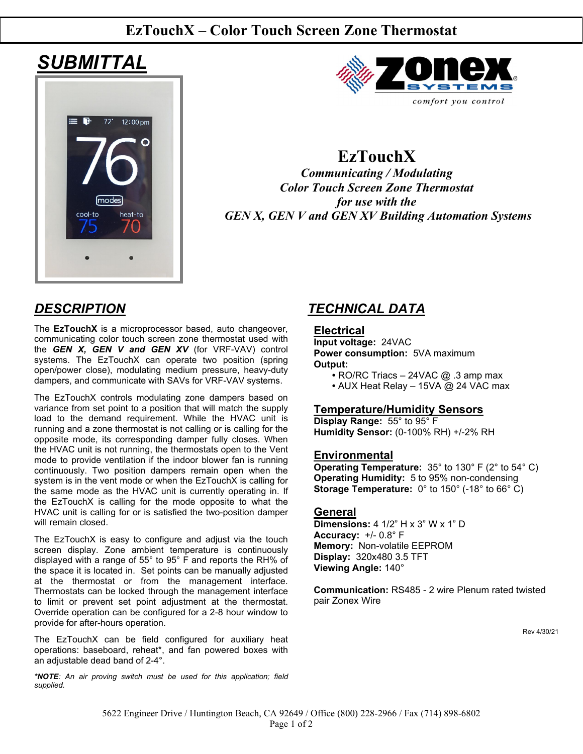## **EzTouchX – Color Touch Screen Zone Thermostat**

# *SUBMITTAL*





## **EzTouchX**

*Communicating / Modulating Color Touch Screen Zone Thermostat for use with the GEN X, GEN V and GEN XV Building Automation Systems*

The **EzTouchX** is a microprocessor based, auto changeover, communicating color touch screen zone thermostat used with the *GEN X, GEN V and GEN XV* (for VRF-VAV) control systems. The EzTouchX can operate two position (spring open/power close), modulating medium pressure, heavy-duty dampers, and communicate with SAVs for VRF-VAV systems.

The EzTouchX controls modulating zone dampers based on variance from set point to a position that will match the supply load to the demand requirement. While the HVAC unit is running and a zone thermostat is not calling or is calling for the opposite mode, its corresponding damper fully closes. When the HVAC unit is not running, the thermostats open to the Vent mode to provide ventilation if the indoor blower fan is running continuously. Two position dampers remain open when the system is in the vent mode or when the EzTouchX is calling for the same mode as the HVAC unit is currently operating in. If the EzTouchX is calling for the mode opposite to what the HVAC unit is calling for or is satisfied the two-position damper will remain closed.

The EzTouchX is easy to configure and adjust via the touch screen display. Zone ambient temperature is continuously displayed with a range of 55° to 95° F and reports the RH% of the space it is located in. Set points can be manually adjusted at the thermostat or from the management interface. Thermostats can be locked through the management interface to limit or prevent set point adjustment at the thermostat. Override operation can be configured for a 2-8 hour window to provide for after-hours operation.

The EzTouchX can be field configured for auxiliary heat operations: baseboard, reheat\*, and fan powered boxes with an adjustable dead band of 2-4°.

*\*NOTE: An air proving switch must be used for this application; field supplied.*

## *DESCRIPTION TECHNICAL DATA*

### **Electrical**

**Input voltage:** 24VAC **Power consumption:** 5VA maximum **Output:**

- **•** RO/RC Triacs 24VAC @ .3 amp max
- **•** AUX Heat Relay 15VA @ 24 VAC max

### **Temperature/Humidity Sensors**

**Display Range:** 55° to 95° F **Humidity Sensor:** (0-100% RH) +/-2% RH

#### **Environmental**

**Operating Temperature:** 35° to 130° F (2° to 54° C) **Operating Humidity:** 5 to 95% non-condensing **Storage Temperature:** 0° to 150° (-18° to 66° C)

#### **General**

**Dimensions:** 4 1/2" H x 3" W x 1" D **Accuracy:** +/- 0.8° F **Memory:** Non-volatile EEPROM **Display:** 320x480 3.5 TFT **Viewing Angle:** 140°

**Communication:** RS485 - 2 wire Plenum rated twisted pair Zonex Wire

Rev 4/30/21